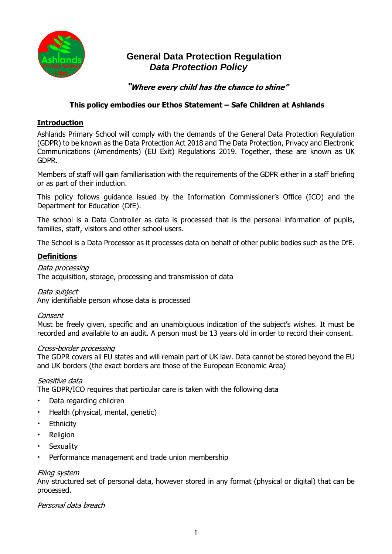

# **General Data Protection Regulation**  *Data Protection Policy*

# **"Where every child has the chance to shine"**

# **This policy embodies our Ethos Statement – Safe Children at Ashlands**

# **Introduction**

Ashlands Primary School will comply with the demands of the General Data Protection Regulation (GDPR) to be known as the Data Protection Act 2018 and The Data Protection, Privacy and Electronic Communications (Amendments) (EU Exit) Regulations 2019. Together, these are known as UK GDPR.

Members of staff will gain familiarisation with the requirements of the GDPR either in a staff briefing or as part of their induction.

This policy follows guidance issued by the Information Commissioner's Office (ICO) and the Department for Education (DfE).

The school is a Data Controller as data is processed that is the personal information of pupils, families, staff, visitors and other school users.

The School is a Data Processor as it processes data on behalf of other public bodies such as the DfE.

# **Definitions**

Data processing The acquisition, storage, processing and transmission of data

Data subject

Any identifiable person whose data is processed

#### Consent

Must be freely given, specific and an unambiguous indication of the subject's wishes. It must be recorded and available to an audit. A person must be 13 years old in order to record their consent.

#### Cross-border processing

The GDPR covers all EU states and will remain part of UK law. Data cannot be stored beyond the EU and UK borders (the exact borders are those of the European Economic Area)

Sensitive data

The GDPR/ICO requires that particular care is taken with the following data

- Data regarding children
- Health (physical, mental, genetic)
- Ethnicity
- Religion
- Sexuality
- Performance management and trade union membership

#### Filing system

Any structured set of personal data, however stored in any format (physical or digital) that can be processed.

Personal data breach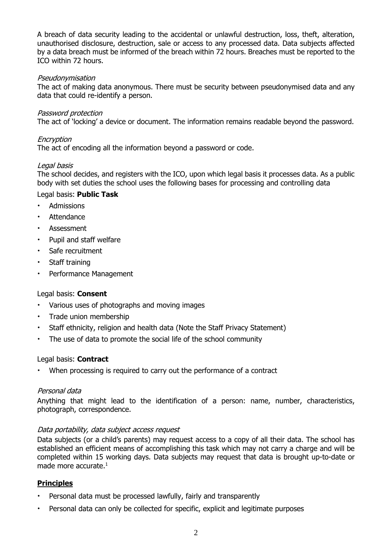A breach of data security leading to the accidental or unlawful destruction, loss, theft, alteration, unauthorised disclosure, destruction, sale or access to any processed data. Data subjects affected by a data breach must be informed of the breach within 72 hours. Breaches must be reported to the ICO within 72 hours.

#### Pseudonymisation

The act of making data anonymous. There must be security between pseudonymised data and any data that could re-identify a person.

#### Password protection

The act of 'locking' a device or document. The information remains readable beyond the password.

## Encryption

The act of encoding all the information beyond a password or code.

## Legal basis

The school decides, and registers with the ICO, upon which legal basis it processes data. As a public body with set duties the school uses the following bases for processing and controlling data

## Legal basis: **Public Task**

- Admissions
- **Attendance**
- **Assessment**
- Pupil and staff welfare
- Safe recruitment
- Staff training
- Performance Management

## Legal basis: **Consent**

- Various uses of photographs and moving images
- Trade union membership
- Staff ethnicity, religion and health data (Note the Staff Privacy Statement)
- The use of data to promote the social life of the school community

## Legal basis: **Contract**

When processing is required to carry out the performance of a contract

## Personal data

Anything that might lead to the identification of a person: name, number, characteristics, photograph, correspondence.

## Data portability, data subject access request

Data subjects (or a child's parents) may request access to a copy of all their data. The school has established an efficient means of accomplishing this task which may not carry a charge and will be completed within 15 working days. Data subjects may request that data is brought up-to-date or made more accurate.<sup>1</sup>

## **Principles**

- Personal data must be processed lawfully, fairly and transparently
- Personal data can only be collected for specific, explicit and legitimate purposes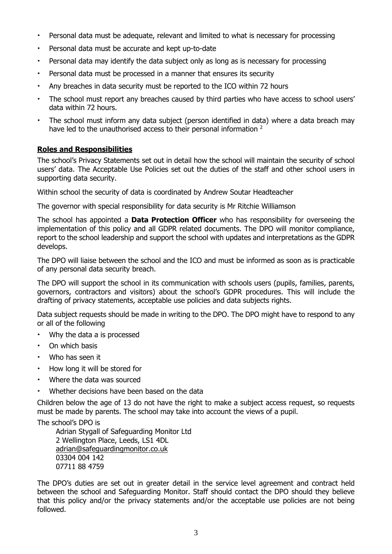- Personal data must be adequate, relevant and limited to what is necessary for processing
- Personal data must be accurate and kept up-to-date
- Personal data may identify the data subject only as long as is necessary for processing
- Personal data must be processed in a manner that ensures its security
- Any breaches in data security must be reported to the ICO within 72 hours
- The school must report any breaches caused by third parties who have access to school users' data within 72 hours.
- The school must inform any data subject (person identified in data) where a data breach may have led to the unauthorised access to their personal information <sup>2</sup>

#### **Roles and Responsibilities**

The school's Privacy Statements set out in detail how the school will maintain the security of school users' data. The Acceptable Use Policies set out the duties of the staff and other school users in supporting data security.

Within school the security of data is coordinated by Andrew Soutar Headteacher

The governor with special responsibility for data security is Mr Ritchie Williamson

The school has appointed a **Data Protection Officer** who has responsibility for overseeing the implementation of this policy and all GDPR related documents. The DPO will monitor compliance, report to the school leadership and support the school with updates and interpretations as the GDPR develops.

The DPO will liaise between the school and the ICO and must be informed as soon as is practicable of any personal data security breach.

The DPO will support the school in its communication with schools users (pupils, families, parents, governors, contractors and visitors) about the school's GDPR procedures. This will include the drafting of privacy statements, acceptable use policies and data subjects rights.

Data subject requests should be made in writing to the DPO. The DPO might have to respond to any or all of the following

- Why the data a is processed
- On which basis
- Who has seen it
- How long it will be stored for
- Where the data was sourced
- Whether decisions have been based on the data

Children below the age of 13 do not have the right to make a subject access request, so requests must be made by parents. The school may take into account the views of a pupil.

The school's DPO is

Adrian Stygall of Safeguarding Monitor Ltd 2 Wellington Place, Leeds, LS1 4DL [adrian@safeguardingmonitor.co.uk](mailto:adrian@safeguardingmonitor.co.uk) 03304 004 142 07711 88 4759

The DPO's duties are set out in greater detail in the service level agreement and contract held between the school and Safeguarding Monitor. Staff should contact the DPO should they believe that this policy and/or the privacy statements and/or the acceptable use policies are not being followed.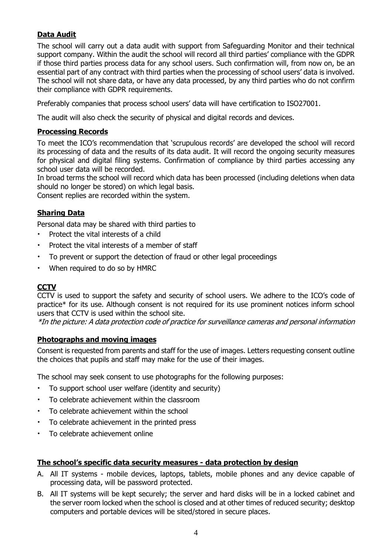# **Data Audit**

The school will carry out a data audit with support from Safeguarding Monitor and their technical support company. Within the audit the school will record all third parties' compliance with the GDPR if those third parties process data for any school users. Such confirmation will, from now on, be an essential part of any contract with third parties when the processing of school users' data is involved. The school will not share data, or have any data processed, by any third parties who do not confirm their compliance with GDPR requirements.

Preferably companies that process school users' data will have certification to ISO27001.

The audit will also check the security of physical and digital records and devices.

# **Processing Records**

To meet the ICO's recommendation that 'scrupulous records' are developed the school will record its processing of data and the results of its data audit. It will record the ongoing security measures for physical and digital filing systems. Confirmation of compliance by third parties accessing any school user data will be recorded.

In broad terms the school will record which data has been processed (including deletions when data should no longer be stored) on which legal basis.

Consent replies are recorded within the system.

# **Sharing Data**

Personal data may be shared with third parties to

- Protect the vital interests of a child
- Protect the vital interests of a member of staff
- To prevent or support the detection of fraud or other legal proceedings
- When required to do so by HMRC

## **CCTV**

CCTV is used to support the safety and security of school users. We adhere to the ICO's code of practice\* for its use. Although consent is not required for its use prominent notices inform school users that CCTV is used within the school site.

\*In the picture: A data protection code of practice for surveillance cameras and personal information

## **Photographs and moving images**

Consent is requested from parents and staff for the use of images. Letters requesting consent outline the choices that pupils and staff may make for the use of their images.

The school may seek consent to use photographs for the following purposes:

- To support school user welfare (identity and security)
- To celebrate achievement within the classroom
- To celebrate achievement within the school
- To celebrate achievement in the printed press
- To celebrate achievement online

#### **The school's specific data security measures - data protection by design**

- A. All IT systems mobile devices, laptops, tablets, mobile phones and any device capable of processing data, will be password protected.
- B. All IT systems will be kept securely; the server and hard disks will be in a locked cabinet and the server room locked when the school is closed and at other times of reduced security; desktop computers and portable devices will be sited/stored in secure places.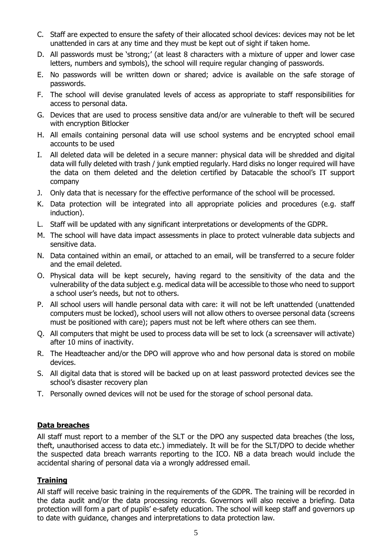- C. Staff are expected to ensure the safety of their allocated school devices: devices may not be let unattended in cars at any time and they must be kept out of sight if taken home.
- D. All passwords must be 'strong;' (at least 8 characters with a mixture of upper and lower case letters, numbers and symbols), the school will require regular changing of passwords.
- E. No passwords will be written down or shared; advice is available on the safe storage of passwords.
- F. The school will devise granulated levels of access as appropriate to staff responsibilities for access to personal data.
- G. Devices that are used to process sensitive data and/or are vulnerable to theft will be secured with encryption Bitlocker
- H. All emails containing personal data will use school systems and be encrypted school email accounts to be used
- I. All deleted data will be deleted in a secure manner: physical data will be shredded and digital data will fully deleted with trash / junk emptied regularly. Hard disks no longer required will have the data on them deleted and the deletion certified by Datacable the school's IT support company
- J. Only data that is necessary for the effective performance of the school will be processed.
- K. Data protection will be integrated into all appropriate policies and procedures (e.g. staff induction).
- L. Staff will be updated with any significant interpretations or developments of the GDPR.
- M. The school will have data impact assessments in place to protect vulnerable data subjects and sensitive data.
- N. Data contained within an email, or attached to an email, will be transferred to a secure folder and the email deleted.
- O. Physical data will be kept securely, having regard to the sensitivity of the data and the vulnerability of the data subject e.g. medical data will be accessible to those who need to support a school user's needs, but not to others.
- P. All school users will handle personal data with care: it will not be left unattended (unattended computers must be locked), school users will not allow others to oversee personal data (screens must be positioned with care); papers must not be left where others can see them.
- Q. All computers that might be used to process data will be set to lock (a screensaver will activate) after 10 mins of inactivity.
- R. The Headteacher and/or the DPO will approve who and how personal data is stored on mobile devices.
- S. All digital data that is stored will be backed up on at least password protected devices see the school's disaster recovery plan
- T. Personally owned devices will not be used for the storage of school personal data.

# **Data breaches**

All staff must report to a member of the SLT or the DPO any suspected data breaches (the loss, theft, unauthorised access to data etc.) immediately. It will be for the SLT/DPO to decide whether the suspected data breach warrants reporting to the ICO. NB a data breach would include the accidental sharing of personal data via a wrongly addressed email.

# **Training**

All staff will receive basic training in the requirements of the GDPR. The training will be recorded in the data audit and/or the data processing records. Governors will also receive a briefing. Data protection will form a part of pupils' e-safety education. The school will keep staff and governors up to date with guidance, changes and interpretations to data protection law.